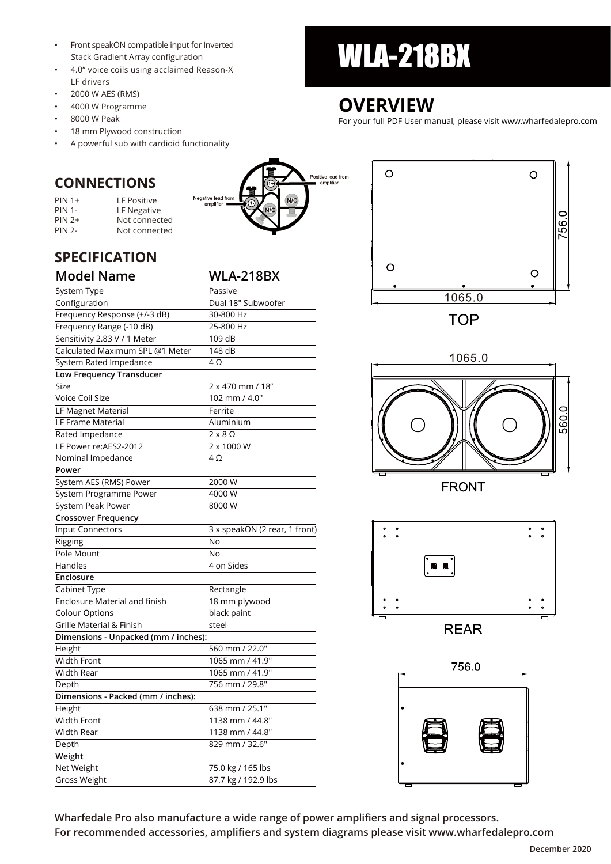- Stack Gradient Array configuration
- 4.0" voice coils using acclaimed Reason-X LF drivers
- 2000 W AES (RMS)
- 4000 W Programme
- 8000 W Peak
- 18 mm Plywood construction
- A powerful sub with cardioid functionality

Negative lead from<br>amplifier

### **CONNECTIONS**

| $PIN 1+$      | LF Positive   |
|---------------|---------------|
| <b>PIN 1-</b> | LF Negative   |
| $PIN 2+$      | Not connected |
| <b>PIN 2-</b> | Not connected |

### **SPECIFICATION**

| <b>Model Name</b>                    | <b>WLA-218BX</b>              |
|--------------------------------------|-------------------------------|
| System Type                          | Passive                       |
| Configuration                        | Dual 18" Subwoofer            |
| Frequency Response (+/-3 dB)         | 30-800 Hz                     |
| Frequency Range (-10 dB)             | 25-800 Hz                     |
| Sensitivity 2.83 V / 1 Meter         | 109 dB                        |
| Calculated Maximum SPL @1 Meter      | 148 dB                        |
| System Rated Impedance               | 4Ω                            |
| Low Frequency Transducer             |                               |
| Size                                 | 2 x 470 mm / 18"              |
| <b>Voice Coil Size</b>               | 102 mm / 4.0"                 |
| LF Magnet Material                   | Ferrite                       |
| <b>LF Frame Material</b>             | Aluminium                     |
| Rated Impedance                      | $2 \times 8 \Omega$           |
| LF Power re:AES2-2012                | 2 x 1000 W                    |
| Nominal Impedance                    | $4\Omega$                     |
| Power                                |                               |
| System AES (RMS) Power               | 2000 W                        |
| System Programme Power               | 4000 W                        |
| System Peak Power                    | 8000 W                        |
| <b>Crossover Frequency</b>           |                               |
| Input Connectors                     | 3 x speakON (2 rear, 1 front) |
| Rigging                              | No                            |
| Pole Mount                           | No                            |
| Handles                              | 4 on Sides                    |
| Enclosure                            |                               |
| Cabinet Type                         | Rectangle                     |
| Enclosure Material and finish        | 18 mm plywood                 |
| <b>Colour Options</b>                | black paint                   |
| Grille Material & Finish             | steel                         |
| Dimensions - Unpacked (mm / inches): |                               |
| Height                               | 560 mm / 22.0"                |
| <b>Width Front</b>                   | 1065 mm / 41.9"               |
| Width Rear                           | 1065 mm / 41.9"               |
| Depth                                | 756 mm / 29.8"                |
| Dimensions - Packed (mm / inches):   |                               |
| Height                               | 638 mm / 25.1"                |
| <b>Width Front</b>                   | 1138 mm / 44.8"               |
| Width Rear                           | 1138 mm / 44.8"               |
| Depth                                | 829 mm / 32.6"                |
| Weight                               |                               |
| Net Weight                           | 75.0 kg / 165 lbs             |
| <b>Gross Weight</b>                  | 87.7 kg / 192.9 lbs           |
|                                      |                               |

# • Front speakON compatible input for Inverted<br>Stack Gradient Array configuration<br>A 4.0" voice cells using acclaimed Pascon Y

## **OVERVIEW**

Positive lead from amplifie

For your full PDF User manual, please visit www.wharfedalepro.com





**FRONT** 



**REAR** 



**Wharfedale Pro also manufacture a wide range of power amplifiers and signal processors.** 

**For recommended accessories, amplifiers and system diagrams please visit www.wharfedalepro.com**